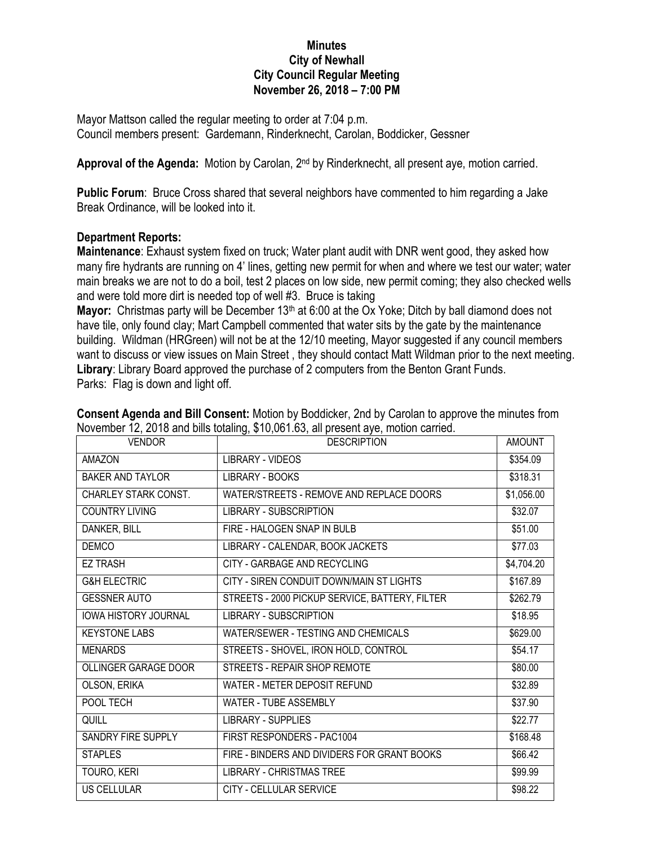## **Minutes City of Newhall City Council Regular Meeting November 26, 2018 – 7:00 PM**

Mayor Mattson called the regular meeting to order at 7:04 p.m. Council members present: Gardemann, Rinderknecht, Carolan, Boddicker, Gessner

**Approval of the Agenda:** Motion by Carolan, 2nd by Rinderknecht, all present aye, motion carried.

**Public Forum**: Bruce Cross shared that several neighbors have commented to him regarding a Jake Break Ordinance, will be looked into it.

## **Department Reports:**

**Maintenance**: Exhaust system fixed on truck; Water plant audit with DNR went good, they asked how many fire hydrants are running on 4' lines, getting new permit for when and where we test our water; water main breaks we are not to do a boil, test 2 places on low side, new permit coming; they also checked wells and were told more dirt is needed top of well #3. Bruce is taking

**Mayor:** Christmas party will be December 13<sup>th</sup> at 6:00 at the Ox Yoke; Ditch by ball diamond does not have tile, only found clay; Mart Campbell commented that water sits by the gate by the maintenance building. Wildman (HRGreen) will not be at the 12/10 meeting, Mayor suggested if any council members want to discuss or view issues on Main Street , they should contact Matt Wildman prior to the next meeting. **Library**: Library Board approved the purchase of 2 computers from the Benton Grant Funds. Parks: Flag is down and light off.

| <b>VENDOR</b>               | <b>DESCRIPTION</b>                             | <b>AMOUNT</b> |
|-----------------------------|------------------------------------------------|---------------|
| <b>AMAZON</b>               | LIBRARY - VIDEOS                               | \$354.09      |
| BAKER AND TAYLOR            | <b>LIBRARY - BOOKS</b>                         | \$318.31      |
| <b>CHARLEY STARK CONST.</b> | WATER/STREETS - REMOVE AND REPLACE DOORS       | \$1,056.00    |
| <b>COUNTRY LIVING</b>       | <b>LIBRARY - SUBSCRIPTION</b>                  | \$32.07       |
| DANKER, BILL                | FIRE - HALOGEN SNAP IN BULB                    | \$51.00       |
| <b>DEMCO</b>                | LIBRARY - CALENDAR, BOOK JACKETS               | \$77.03       |
| <b>EZ TRASH</b>             | CITY - GARBAGE AND RECYCLING                   | \$4,704.20    |
| <b>G&amp;H ELECTRIC</b>     | CITY - SIREN CONDUIT DOWN/MAIN ST LIGHTS       | \$167.89      |
| <b>GESSNER AUTO</b>         | STREETS - 2000 PICKUP SERVICE, BATTERY, FILTER | \$262.79      |
| <b>IOWA HISTORY JOURNAL</b> | <b>LIBRARY - SUBSCRIPTION</b>                  | \$18.95       |
| <b>KEYSTONE LABS</b>        | WATER/SEWER - TESTING AND CHEMICALS            | \$629.00      |
| <b>MENARDS</b>              | STREETS - SHOVEL, IRON HOLD, CONTROL           | \$54.17       |
| <b>OLLINGER GARAGE DOOR</b> | STREETS - REPAIR SHOP REMOTE                   | \$80.00       |
| OLSON, ERIKA                | WATER - METER DEPOSIT REFUND                   | \$32.89       |
| POOL TECH                   | <b>WATER - TUBE ASSEMBLY</b>                   | \$37.90       |
| QUILL                       | LIBRARY - SUPPLIES                             | \$22.77       |
| SANDRY FIRE SUPPLY          | FIRST RESPONDERS - PAC1004                     | \$168.48      |
| <b>STAPLES</b>              | FIRE - BINDERS AND DIVIDERS FOR GRANT BOOKS    | \$66.42       |
| TOURO, KERI                 | <b>LIBRARY - CHRISTMAS TREE</b>                | \$99.99       |
| US CELLULAR                 | CITY - CELLULAR SERVICE                        | \$98.22       |

**Consent Agenda and Bill Consent:** Motion by Boddicker, 2nd by Carolan to approve the minutes from November 12, 2018 and bills totaling, \$10,061.63, all present aye, motion carried.